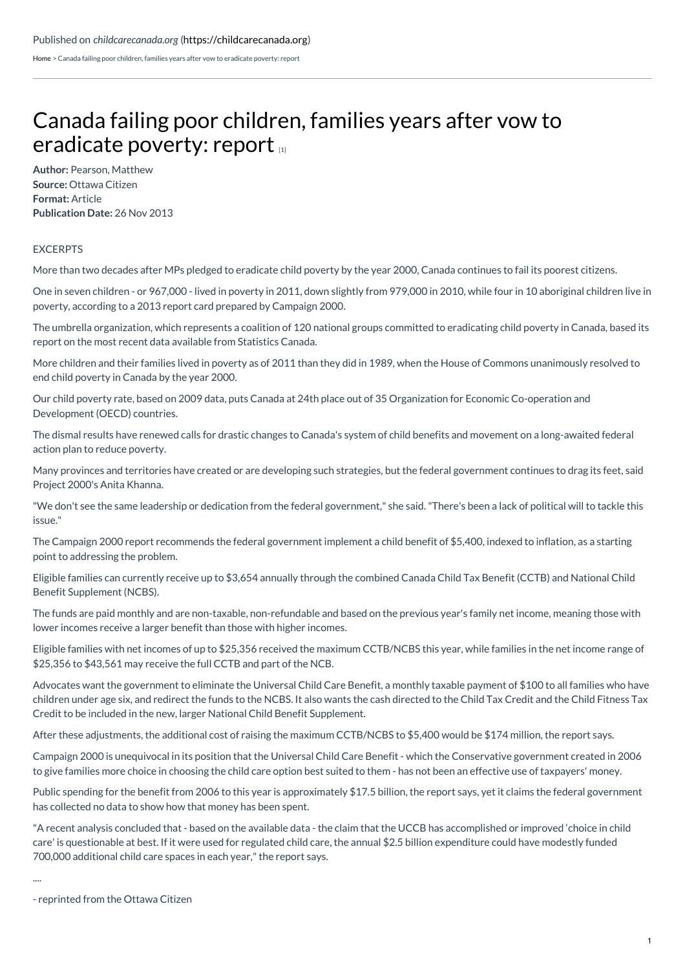[Home](https://childcarecanada.org/) > Canada failing poor children, families years after vow to eradicate poverty: report

## Canada failing poor children, families years after vow to [eradicate](https://childcarecanada.org/documents/child-care-news/13/11/canada-failing-poor-children-families-years-after-vow-eradicate) poverty: report

**Author:** Pearson, Matthew **Source:** Ottawa Citizen **Format:** Article **Publication Date:** 26 Nov 2013

## EXCERPTS

More than two decades after MPs pledged to eradicate child poverty by the year 2000, Canada continues to fail its poorest citizens.

One in seven children - or 967,000 - lived in poverty in 2011, down slightly from 979,000 in 2010, while four in 10 aboriginal children live in poverty, according to a 2013 report card prepared by Campaign 2000.

The umbrella organization, which represents a coalition of 120 national groups committed to eradicating child poverty in Canada, based its report on the most recent data available from Statistics Canada.

More children and their families lived in poverty as of 2011 than they did in 1989, when the House of Commons unanimously resolved to end child poverty in Canada by the year 2000.

Our child poverty rate, based on 2009 data, puts Canada at 24th place out of 35 Organization for Economic Co-operation and Development (OECD) countries.

The dismal results have renewed calls for drastic changes to Canada's system of child benefits and movement on a long-awaited federal action plan to reduce poverty.

Many provinces and territories have created or are developing such strategies, but the federal government continues to drag its feet, said Project 2000's Anita Khanna.

"We don't see the same leadership or dedication from the federal government," she said."There's been a lack of political will to tackle this issue."

The Campaign 2000 report recommends the federal government implement a child benefit of \$5,400, indexed to inflation, as a starting point to addressing the problem.

Eligible families can currently receive up to \$3,654 annually through the combined Canada Child Tax Benefit (CCTB) and National Child Benefit Supplement (NCBS).

The funds are paid monthly and are non-taxable, non-refundable and based on the previous year's family net income, meaning those with lower incomes receive a larger benefit than those with higher incomes.

Eligible families with net incomes of up to \$25,356 received the maximum CCTB/NCBS this year, while families in the net income range of \$25,356 to \$43,561 may receive the full CCTB and part of the NCB.

Advocates want the government to eliminate the Universal Child Care Benefit, a monthly taxable payment of \$100 to all families who have children under age six, and redirect the funds to the NCBS. It also wants the cash directed to the Child Tax Credit and the Child Fitness Tax Credit to be included in the new, larger National Child Benefit Supplement.

After these adjustments, the additional cost of raising the maximum CCTB/NCBS to \$5,400 would be \$174 million, the report says.

Campaign 2000 is unequivocal in its position that the Universal Child Care Benefit - which the Conservative government created in 2006 to give families more choice in choosing the child care option best suited to them - has not been an effective use of taxpayers' money.

Public spending for the benefit from 2006 to this year is approximately \$17.5 billion, the report says, yet it claims the federal government has collected no data to show how that money has been spent.

"A recent analysis concluded that - based on the available data - the claim that the UCCB has accomplished or improved 'choice in child care' is questionable at best. If it were used for regulated child care, the annual \$2.5 billion expenditure could have modestly funded 700,000 additional child care spaces in each year," the report says.

....

<sup>-</sup> reprinted from the Ottawa Citizen